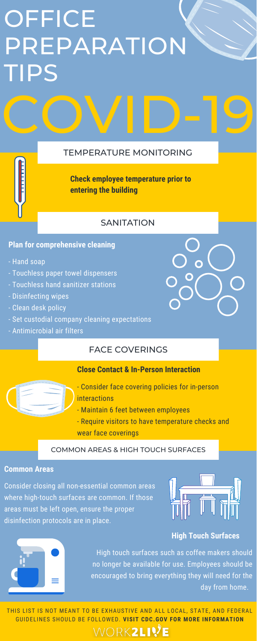### TEMPERATURE MONITORING

### FACE COVERINGS

### COMMON AREAS & HIGH TOUCH SURFACES

### **Plan for comprehensive cleaning**

- Hand soap
- Touchless paper towel dispensers
- Touchless hand sanitizer stations
- Disinfecting wipes
- Clean desk policy
- Set custodial company cleaning expectations
- Antimicrobial air filters

### **Close Contact & In-Person Interaction**



- Consider face covering policies for in-person interactions
- Maintain 6 feet between employees
- Require visitors to have temperature checks and wear face coverings

FOR REFERENCE: GUIDELINES SHOULD BE FOLLOWED. **VISIT CDC.GOV FOR MORE INFORMATION**THIS LIST IS NOT MEANT TO BE EXHAUSTIVE AND ALL LOCAL, STATE, AND FEDERAL

WORK2LIY<sup>e</sup>

### **Common Areas**

Consider closing all non-essential common areas where high-touch surfaces are common. If those areas must be left open, ensure the proper disinfection protocols are in place.



## OFFICE PREPARATION TIPS

### **High Touch Surfaces**



High touch surfaces such as coffee makers should no longer be available for use. Employees should be encouraged to bring everything they will need for the day from home.

**Check employee temperature prior to entering the building**

### **SANITATION**

COVID-19